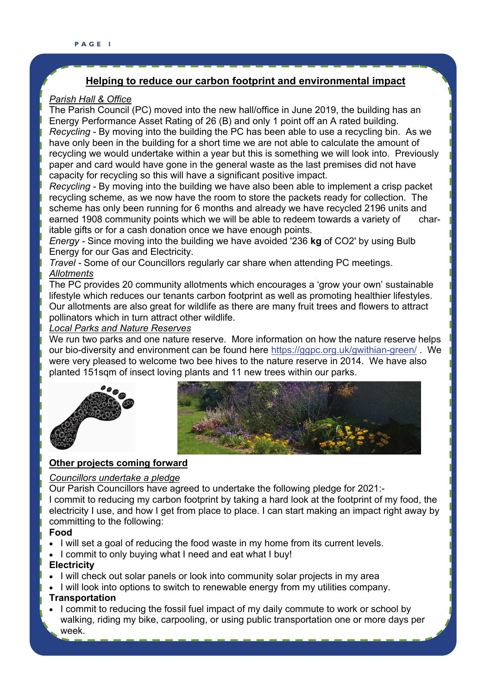# **Helping to reduce our carbon footprint and environmental impact**

### *Parish Hall & Office*

The Parish Council (PC) moved into the new hall/office in June 2019, the building has an Energy Performance Asset Rating of 26 (B) and only 1 point off an A rated building. *Recycling -* By moving into the building the PC has been able to use a recycling bin. As we have only been in the building for a short time we are not able to calculate the amount of recycling we would undertake within a year but this is something we will look into. Previously paper and card would have gone in the general waste as the last premises did not have capacity for recycling so this will have a significant positive impact.

*Recycling -* By moving into the building we have also been able to implement a crisp packet recycling scheme, as we now have the room to store the packets ready for collection. The scheme has only been running for 6 months and already we have recycled 2196 units and earned 1908 community points which we will be able to redeem towards a variety of charitable gifts or for a cash donation once we have enough points.

*Energy -* Since moving into the building we have avoided '236 **kg** of CO2' by using Bulb Energy for our Gas and Electricity.

*Travel -* Some of our Councillors regularly car share when attending PC meetings. *Allotments*

The PC provides 20 community allotments which encourages a 'grow your own' sustainable lifestyle which reduces our tenants carbon footprint as well as promoting healthier lifestyles. Our allotments are also great for wildlife as there are many fruit trees and flowers to attract pollinators which in turn attract other wildlife.

#### *Local Parks and Nature Reserves*

We run two parks and one nature reserve. More information on how the nature reserve helps our bio-diversity and environment can be found here<https://ggpc.org.uk/gwithian-green/> . We were very pleased to welcome two bee hives to the nature reserve in 2014. We have also planted 151sqm of insect loving plants and 11 new trees within our parks.



## **Other projects coming forward**

### *Councillors undertake a pledge*

Our Parish Councillors have agreed to undertake the following pledge for 2021:-

I commit to reducing my carbon footprint by taking a hard look at the footprint of my food, the electricity I use, and how I get from place to place. I can start making an impact right away by committing to the following:

## **Food**

- I will set a goal of reducing the food waste in my home from its current levels.
- I commit to only buying what I need and eat what I buy!

#### **Electricity**

- I will check out solar panels or look into community solar projects in my area
- I will look into options to switch to renewable energy from my utilities company.

## **Transportation**

 I commit to reducing the fossil fuel impact of my daily commute to work or school by walking, riding my bike, carpooling, or using public transportation one or more days per week.